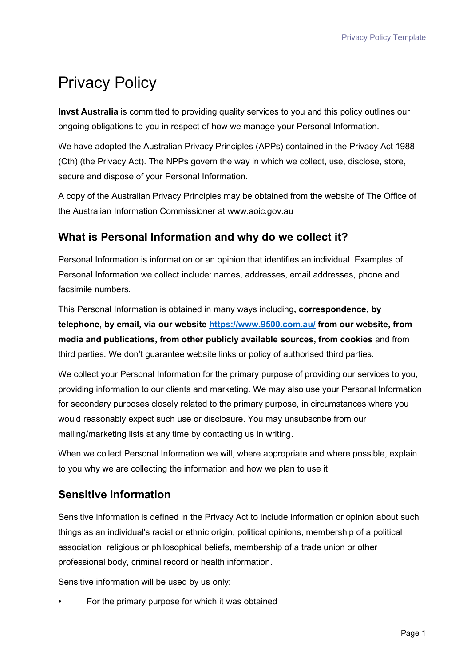# Privacy Policy

**Invst Australia** is committed to providing quality services to you and this policy outlines our ongoing obligations to you in respect of how we manage your Personal Information.

We have adopted the Australian Privacy Principles (APPs) contained in the Privacy Act 1988 (Cth) (the Privacy Act). The NPPs govern the way in which we collect, use, disclose, store, secure and dispose of your Personal Information.

A copy of the Australian Privacy Principles may be obtained from the website of The Office of the Australian Information Commissioner at www.aoic.gov.au

## **What is Personal Information and why do we collect it?**

Personal Information is information or an opinion that identifies an individual. Examples of Personal Information we collect include: names, addresses, email addresses, phone and facsimile numbers.

This Personal Information is obtained in many ways including**, correspondence, by telephone, by email, via our website<https://www.9500.com.au/> from our website, from media and publications, from other publicly available sources, from cookies** and from third parties. We don't guarantee website links or policy of authorised third parties.

We collect your Personal Information for the primary purpose of providing our services to you, providing information to our clients and marketing. We may also use your Personal Information for secondary purposes closely related to the primary purpose, in circumstances where you would reasonably expect such use or disclosure. You may unsubscribe from our mailing/marketing lists at any time by contacting us in writing.

When we collect Personal Information we will, where appropriate and where possible, explain to you why we are collecting the information and how we plan to use it.

## **Sensitive Information**

Sensitive information is defined in the Privacy Act to include information or opinion about such things as an individual's racial or ethnic origin, political opinions, membership of a political association, religious or philosophical beliefs, membership of a trade union or other professional body, criminal record or health information.

Sensitive information will be used by us only:

• For the primary purpose for which it was obtained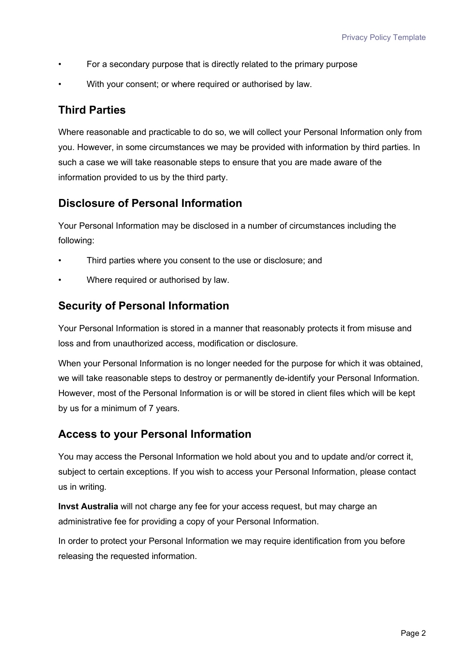- For a secondary purpose that is directly related to the primary purpose
- With your consent; or where required or authorised by law.

#### **Third Parties**

Where reasonable and practicable to do so, we will collect your Personal Information only from you. However, in some circumstances we may be provided with information by third parties. In such a case we will take reasonable steps to ensure that you are made aware of the information provided to us by the third party.

### **Disclosure of Personal Information**

Your Personal Information may be disclosed in a number of circumstances including the following:

- Third parties where you consent to the use or disclosure; and
- Where required or authorised by law.

#### **Security of Personal Information**

Your Personal Information is stored in a manner that reasonably protects it from misuse and loss and from unauthorized access, modification or disclosure.

When your Personal Information is no longer needed for the purpose for which it was obtained, we will take reasonable steps to destroy or permanently de-identify your Personal Information. However, most of the Personal Information is or will be stored in client files which will be kept by us for a minimum of 7 years.

#### **Access to your Personal Information**

You may access the Personal Information we hold about you and to update and/or correct it, subject to certain exceptions. If you wish to access your Personal Information, please contact us in writing.

**Invst Australia** will not charge any fee for your access request, but may charge an administrative fee for providing a copy of your Personal Information.

In order to protect your Personal Information we may require identification from you before releasing the requested information.